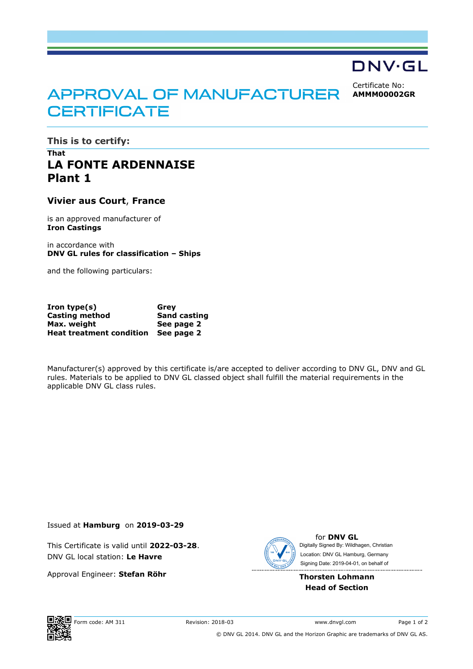## DNV·GL

Certificate No: **AMMM00002GR**

# APPROVAL OF MANUFACTURER **CERTIFICATE**

**This is to certify:** 

## **That LA FONTE ARDENNAISE Plant 1**

#### **Vivier aus Court**, **France**

is an approved manufacturer of **Iron Castings**

in accordance with **DNV GL rules for classification – Ships** 

and the following particulars:

| $Iron type(s)$                  | Grev                |
|---------------------------------|---------------------|
| Casting method                  | <b>Sand casting</b> |
| Max. weight                     | See page 2          |
| <b>Heat treatment condition</b> | See page 2          |

Manufacturer(s) approved by this certificate is/are accepted to deliver according to DNV GL, DNV and GL rules. Materials to be applied to DNV GL classed object shall fulfill the material requirements in the applicable DNV GL class rules.

Issued at **Hamburg** on **2019-03-29**

This Certificate is valid until **2022-03-28**. DNV GL local station: **Le Havre**

Approval Engineer: **Stefan Röhr**



for **DNV GL** Signing Date: 2019-04-01 , on behalf ofDigitally Signed By: Wildhagen, Christian Location: DNV GL Hamburg, Germany

#### **Thorsten Lohmann Head of Section**



Form code: AM 311 Revision: 2018-03 www.dnvgl.com Page 1 of 2 © DNV GL 2014. DNV GL and the Horizon Graphic are trademarks of DNV GL AS.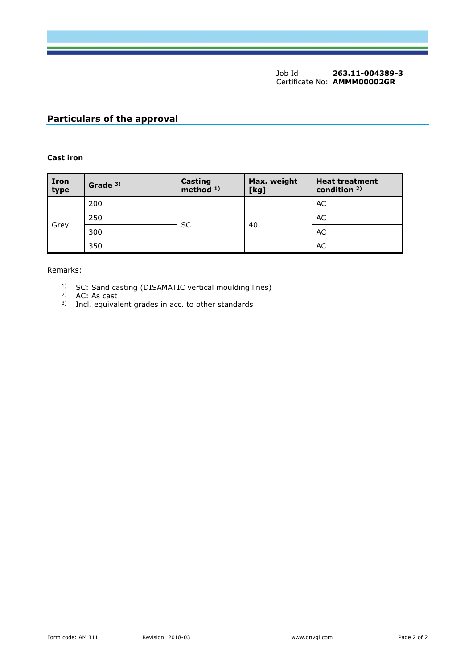Job Id: **263.11-004389-3**  Certificate No: **AMMM00002GR**

### **Particulars of the approval**

#### **Cast iron**

| <b>Iron</b><br>type | Grade $3)$ | <b>Casting</b><br>method <sup>1)</sup> | Max. weight<br>[kg] | <b>Heat treatment</b><br>condition <sup>2)</sup> |
|---------------------|------------|----------------------------------------|---------------------|--------------------------------------------------|
| Grey                | 200        | SC                                     | 40                  | AC                                               |
|                     | 250        |                                        |                     | AC                                               |
|                     | 300        |                                        |                     | AC                                               |
|                     | 350        |                                        |                     | AC                                               |

Remarks:

- <sup>1)</sup> SC: Sand casting (DISAMATIC vertical moulding lines)
- 2) AC: As cast
- 3) Incl. equivalent grades in acc. to other standards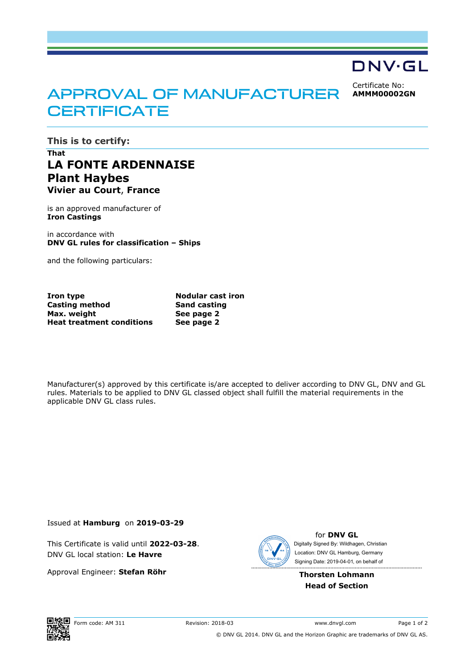## DNV·GL

Certificate No: **AMMM00002GN**

# APPROVAL OF MANUFACTURER **CERTIFICATE**

**This is to certify:** 

## **That LA FONTE ARDENNAISE Plant Haybes Vivier au Court**, **France**

is an approved manufacturer of **Iron Castings**

in accordance with **DNV GL rules for classification – Ships**

and the following particulars:

**Iron type Nodular cast iron Casting method Sand casting Max. weight Heat treatment conditions** 

**See page 2 See page 2** 

Manufacturer(s) approved by this certificate is/are accepted to deliver according to DNV GL, DNV and GL rules. Materials to be applied to DNV GL classed object shall fulfill the material requirements in the applicable DNV GL class rules.

Issued at **Hamburg** on **2019-03-29**

This Certificate is valid until **2022-03-28**. DNV GL local station: **Le Havre**

Approval Engineer: **Stefan Röhr**



for **DNV GL** Signing Date: 2019-04-01 , on behalf ofDigitally Signed By: Wildhagen, Christian Location: DNV GL Hamburg, Germany

**Thorsten Lohmann Head of Section**



Form code: AM 311 Revision: 2018-03 www.dnvgl.com Page 1 of 2 © DNV GL 2014. DNV GL and the Horizon Graphic are trademarks of DNV GL AS.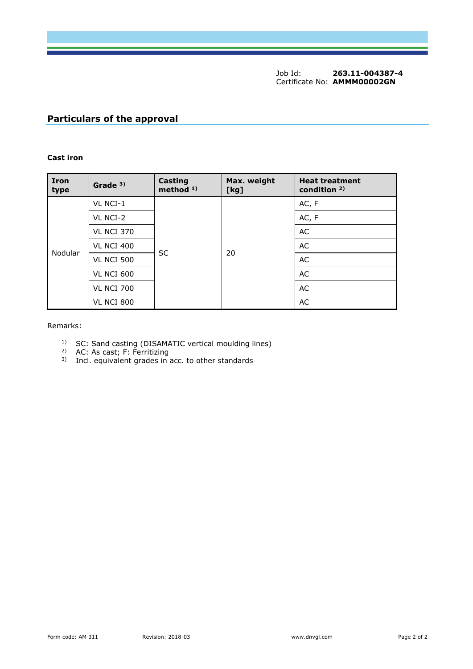Job Id: **263.11-004387-4** Certificate No: **AMMM00002GN**

### **Particulars of the approval**

#### **Cast iron**

| <b>Iron</b><br>type | Grade <sup>3)</sup> | Casting<br>method $1$ ) | Max. weight<br>[kg] | <b>Heat treatment</b><br>condition <sup>2)</sup> |
|---------------------|---------------------|-------------------------|---------------------|--------------------------------------------------|
| Nodular             | VL NCI-1            | <b>SC</b>               | 20                  | AC, F                                            |
|                     | VL NCI-2            |                         |                     | AC, F                                            |
|                     | <b>VL NCI 370</b>   |                         |                     | AC                                               |
|                     | <b>VL NCI 400</b>   |                         |                     | AC                                               |
|                     | <b>VL NCI 500</b>   |                         |                     | AC                                               |
|                     | <b>VL NCI 600</b>   |                         |                     | AC                                               |
|                     | <b>VL NCI 700</b>   |                         |                     | AC                                               |
|                     | <b>VL NCI 800</b>   |                         |                     | AC                                               |

#### Remarks:

- <sup>1)</sup> SC: Sand casting (DISAMATIC vertical moulding lines)
- <sup>2)</sup> AC: As cast; F: Ferritizing
- $3)$  Incl. equivalent grades in acc. to other standards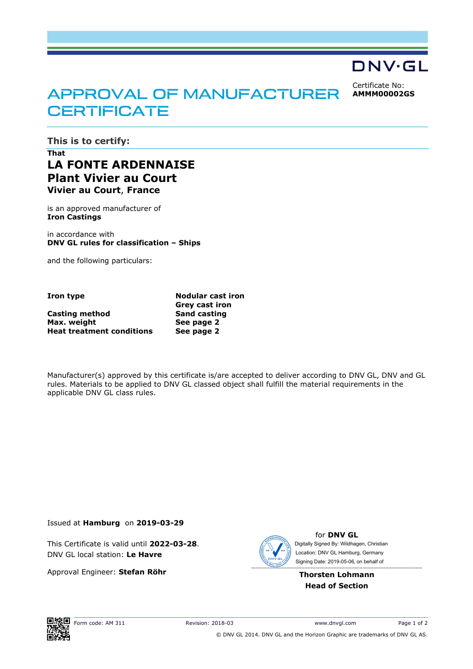## DNV·GL

Certificate No: **AMMM00002GS**

# APPROVAL OF MANUFACTURER **CERTIFICATE**

**This is to certify:** 

## **That LA FONTE ARDENNAISE Plant Vivier au Court Vivier au Court**, **France**

is an approved manufacturer of **Iron Castings**

in accordance with **DNV GL rules for classification – Ships**

and the following particulars:

**Casting method Sand casting Max. weight Heat treatment conditions** 

**Iron type Nodular cast iron Grey cast iron See page 2 See page 2** 

Manufacturer(s) approved by this certificate is/are accepted to deliver according to DNV GL, DNV and GL rules. Materials to be applied to DNV GL classed object shall fulfill the material requirements in the applicable DNV GL class rules.

Issued at **Hamburg** on **2019-03-29**

This Certificate is valid until **2022-03-28**. DNV GL local station: **Le Havre**

Approval Engineer: **Stefan Röhr**



for **DNV GL** Signing Date: 2019-05-06 , on behalf ofDigitally Signed By: Wildhagen, Christian Location: DNV GL Hamburg, Germany

**Thorsten Lohmann Head of Section**



Form code: AM 311 Revision: 2018-03 www.dnvgl.com Page 1 of 2 © DNV GL 2014. DNV GL and the Horizon Graphic are trademarks of DNV GL AS.